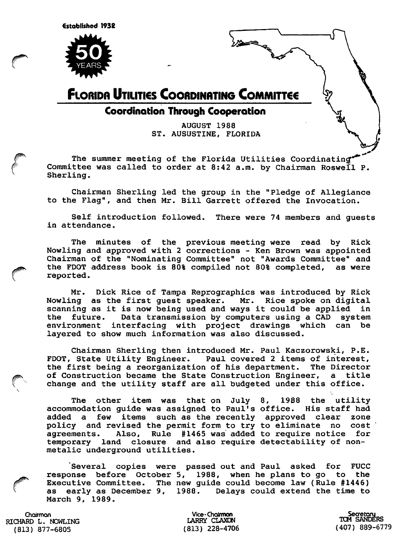

### **FLORIDA UTILITIES COORDINATING COMMITTEE**

### **Coordination Through Cooperation**

AUGUST 1988 ST. AUSUSTINE, FLORIDA

╩══

The summer meeting of the Florida Utilities Coordinating Committee was called to order at 8:42 a.m. by Chairman Roswell P. Sherling.

Chairman Sherling led the group in the "Pledge of Allegiance to the Flag", and then Mr. Bill Garrett offered the Invocation.

Self introduction followed. There were 74 members and guests in attendance.

The minutes of the previous meeting were read by Rick Nowling and approved with 2 corrections - Ken Brown was appointed Chairman of the "Nominating Committee" not "Awards Committee" and the FDOT address book is 80% compiled not 80% completed, as were reported.

Mr. Dick Rice of Tampa Reprographics was introduced by Rick Nowling as the first guest speaker. Mr. Rice spoke on digital scanning as it is now being used and ways it could be applied in the future. Data transmission by computers using a CAD system environment interfacing with project drawings which can be layered to show much information was also discussed.

Chairman Sherling then introduced Mr. Paul Kaczorowski, P.E. FDOT, State Utility Engineer. Paul covered 2 items of interest, the first being a reorganization of his department. The Director of Construction became the State Construction Engineer, a title change and the utility staff are all budgeted under this office.

The other item was that on July 8, 1988 the utility accommodation guide was assigned to Paul's office. His staff had added a few items such as the recently policy and revised the permit form to try agreements. Also, Rule #1465 was added to require notice for temporary land closure and also require detectability of nonmetalic underground utilities. approved clear zone to eliminate no cost

Several copies were passed out and Paul asked for FUCC response before October 5, 1988, when he plans to go to the Executive Committee. The new guide could become law (Rule #1446) as early as December 9, 1988. Delays could extend the time to March 9, 1989.

Chairman RICHARD L. NOWLING (813) 877-6805

Vice-Chairmon LARRY CLAXON (813) 228-4706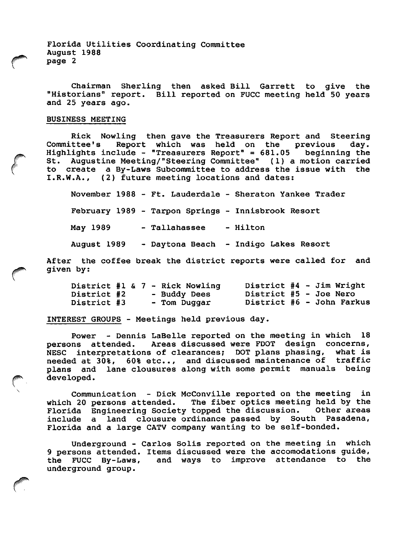Florida Utilities Coordinating Committee August 1988 page 2

Chairman Sherling then asked Bill Garrett to give the "Historians" report. Bill reported on FUCC meeting held 50 years and 25 years ago.

#### BUSINESS MEETING

Rick Nowling then gave the Treasurers Report and Steering<br>Committee's Report which was held on the previous day. Report which was held on the previous day.<br>Clude - "Treasurers Report" =  $681.05$  beginning the Highlights include - "Treasurers Report" =  $681.05$ St. Augustine Meeting/"Steering Committee" (1) a motion carried to create a By-Laws Subcommittee to address the issue with the I.R.W.A., (2) future meeting locations and dates:

November 1988 - Ft. Lauderdale - Sheraton Yankee Trader February 1989 - Tarpon Springs - Innisbrook Resort May 1989 - Tallahassee - Hilton August 1989 - Daytona Beach - Indigo Lakes Resort

After the coffee break the district reports were called for and given by:

|                    |  |  | District #1 & 7 - Rick Nowling |                        |  | District #4 - Jim Wright  |
|--------------------|--|--|--------------------------------|------------------------|--|---------------------------|
| <b>District #2</b> |  |  | - Buddy Dees                   | District #5 - Joe Nero |  |                           |
| District #3        |  |  | - Tom Duggar                   |                        |  | District #6 - John Farkus |

INTEREST GROUPS - Meetings held previous day.

Power - Dennis LaBelle reported on the meeting in which 18<br>persons attended. Areas discussed were FDOT design concerns, Areas discussed were FDOT design concerns,<br>ha of clearances: DOT plans phasing, what is NESC interpretations of clearances; DOT plans phasing, needed at 30%, 60% etc.., and discussed maintenance of traffic plans and lane clousures along with some permit manuals being developed.

Communication - Dick McConville reported on the meeting in<br>which 20 persons attended. The fiber optics meeting held by the The fiber optics meeting held by the<br>topped the discussion. Other areas Florida Engineering Society topped the discussion. Other areas<br>include a land clousure ordinance passed by South Pasadena, include a land clousure ordinance passed by South Florida and a large CATV company wanting to be self-bonded.

Underground - Carlos Solis reported on the meeting in which 9 persons attended. Items discussed were the accomodations guide,<br>the FUCC By-Laws, and ways to improve attendance to the and ways to improve attendance to the underground group.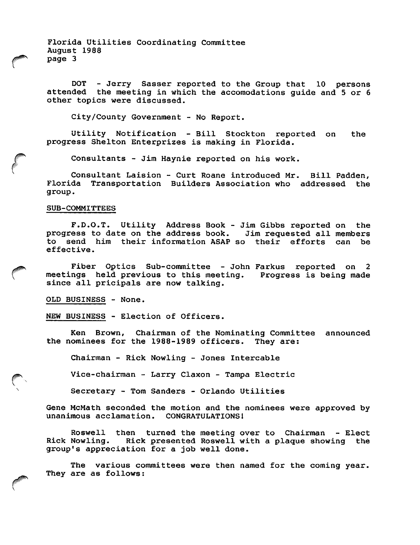Florida Utilities Coordinating Committee August 1988 page 3

DOT - Jerry Sasser reported to the Group that 10 persons attended the meeting in which the accomodations guide and 5 or 6 other topics were discussed.

City/County Government - No Report.

Utility Notification - Bill Stockton reported on the progress Shelton Enterprizes is making in Florida.

Consultants - Jim Haynie reported on his work.

Consultant Laision - Curt Roane introduced Mr. Bill Padden, Florida Transportation Builders Association who addressed the group.

#### SUB-COMMITTEES

F.D.O.T. Utility Address Book - Jim Gibbs reported on the progress to date on the address book. to send him their information ASAP so their efforts can be effective.

Fiber Optics Sub-committee - John Farkus reported on 2 meetings held previous to this meeting. Progress is being made since all pricipals are now talking.

OLD BUSINESS - None.

 $\ddot{\phantom{1}}$ 

NEW BUSINESS - Election of Officers.

Ken Brown, Chairman of the Nominating Committee announced the nominees for the 1988-1989 officers. They are;

Chairman - Rick Nowling - Jones Intercable

Vice-chairman - Larry Claxon - Tampa Electric

Secretary - Tom Sanders - Orlando Utilities

Gene McMath seconded the motion and the nominees were approved by unanimous acclamation. CONGRATULATIONS!

Roswell then turned the meeting over to Chairman - Elect<br>Rick Nowling. Rick presented Roswell with a plaque showing the Rick presented Roswell with a plaque showing the group's appreciation for a job well done.

The various committees were then named for the coming year. They are as follows;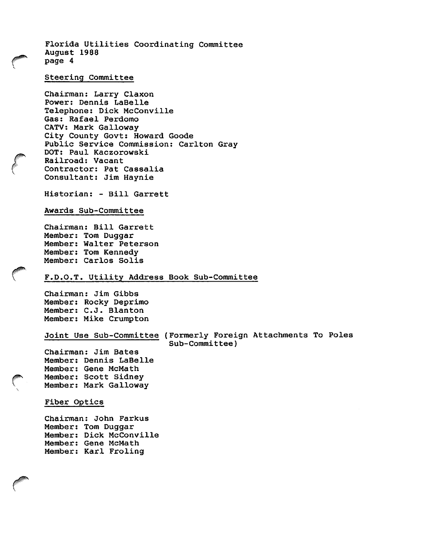Florida Utilities Coordinating Committee August 1988 page 4

### Steering Committee

Chairman; Larry Claxon Power: Dennis LaBelle Telephone: Dick McConville Gas: Rafael Perdomo CATV: Mark Galloway City County Govt: Howard Goode Public Service Commission: Carlton Gray DOT: Paul Kaczorowski Railroad: Vacant Contractor: Pat Cassalia Consultant: Jim Haynie

Historian: - Bill Garrett

#### Awards Sub-Committee

Chairman: Bill Garrett Member: Tom Duggar Member: Walter Peterson Member: Tom Kennedy Member: Carlos Soils

#### F.D.O.T. Utility Address Book Sub-Committee

Chairman: Jim Gibbs Member: Rocky Deprimo Member: C.J. Blanton Member: Mike Crumpton

Joint Use Sub-Committee (Formerly Foreign Attachments To Poles Sub-Committee)

Chairman: Jim Bates Member: Dennis LaBelle Member: Gene McMath Member: Scott Sidney Member: Mark Galloway

#### Fiber Optics

Chairman: John Farkus Member: Tom Duggar Member: Dick McConville Member: Gene McMath Member: Karl Froling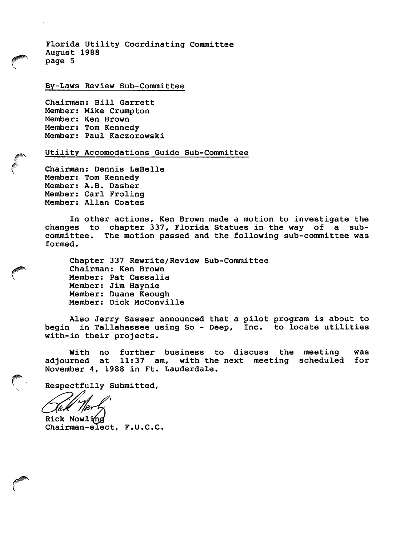Florida Utility Coordinating Committee August 1988 page 5

By-Laws Review Sub-Committee

Chairman: Bill Garrett Member: Mike Crumpton Member: Ken Brown Member: Tom Kennedy Member: Paul Kaczorowski

Utility Accomodations Guide Sub-Committee

Chairman: Dennis LaBelle Member: Tom Kennedy Member: A.B. Dasher Member: Carl Froling Member: Allan Coates

In other actions. Ken Brown made a motion to investigate the changes to chapter 337, Florida Statues in the way of a sub committee. The motion passed and the following sub-committee was formed.

Chapter 337 Rewrite/Review Sub-Committee Chairman: Ken Brown Member: Pat Cassalia Member: Jim Haynie Member: Duane Keough Member: Dick McConville

Also Jerry Sasser announced that a pilot program is about to begin in Tallahassee using So - Deep, Inc. to locate utilities with-in their projects.

With no further business to discuss the meeting was adjourned at 11:37 am, with the next meeting scheduled for November 4, 1988 in Ft. Lauderdale.

Respectfully Submitted,

Chairman-elect, F.U.C.C. Rick Nowling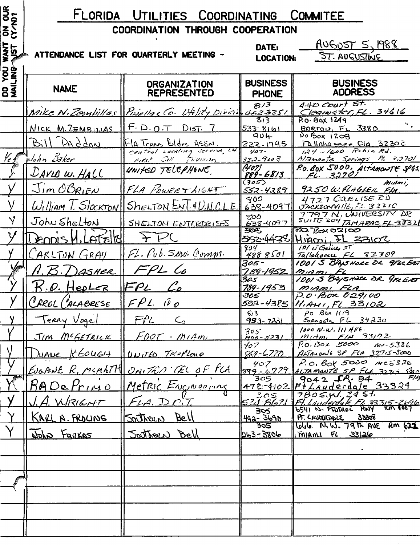### FLORIDA UTILITIES COORDINATING COMMITEE COORDINATION THROUGH COOPERATION

| ON OUR<br>(Y/N)?         | FLORIDA UTILITIES COORDINATING COMMITEE |                                                                |                                                                            |                                                                                        |  |  |  |
|--------------------------|-----------------------------------------|----------------------------------------------------------------|----------------------------------------------------------------------------|----------------------------------------------------------------------------------------|--|--|--|
|                          | COORDINATION THROUGH COOPERATION        |                                                                |                                                                            |                                                                                        |  |  |  |
| <b>WANT</b>              |                                         | ATTENDANCE LIST FOR QUARTERLY MEETING -                        | <u>AUGUST 5, 1988</u><br>DATE:<br><b>ST. AUGUSTINE</b><br><b>LOCATION:</b> |                                                                                        |  |  |  |
| <b>DO YOU</b><br>MAILING | <b>NAME</b>                             | <b>ORGANIZATION</b><br><b>REPRESENTED</b>                      | <b>BUSINESS</b><br><b>PHONE</b>                                            | <b>BUSINESS</b><br><b>ADDRESS</b>                                                      |  |  |  |
|                          |                                         | Mike N. Zembillas Puiellas Co. L'Ality Division déz 3251       | 8/3                                                                        | $440$ Court St.<br>Clearwater, FL. 34616                                               |  |  |  |
|                          | NICK M. ZEMBILLAS                       | $F.D.$ $O.T$<br>$D_{15T}$ 7                                    | 533-8161                                                                   | P.0.80x1249<br>$Baro\mu$ , $F_{L}$ 3380                                                |  |  |  |
|                          | $B_i  D_A d A_0$                        | FIA Trans Bldrs ASSN.<br>Central Lacating Service, 12.         | $904 -$<br><u> 222.1795</u>                                                | $P_0$ $B_{0}x$ $120B$<br>$TQ$ llaha See Cla 32302                                      |  |  |  |
| $\mathscr{V}_{\epsilon}$ | John Baker                              | FIRST Call Flivision                                           | $407 -$<br>$332 - 9003$                                                    | $1.24 - 1600$ Robin Rd.<br>Aliamonte Springs FL 32701                                  |  |  |  |
|                          | DAVIO W. HALL                           | UNITED TELEPHONE                                               | (4'07)<br>889-6813                                                         | P.O. BOX 5000, ALTAMONTE 5965.                                                         |  |  |  |
|                          | <u>Jim OBRIEN</u>                       | FLA POWERTHIGHT                                                | (305)<br><u>552-4289</u>                                                   | miami,<br>9250 W. FLAGLER FLA                                                          |  |  |  |
|                          |                                         | William T. StockTON SHELTON ENT. 4 U.N.C.L.E.                  | 300<br>638-4097                                                            | 4727 CARLISE PD<br>JACKSONVILLE, 11 32210                                              |  |  |  |
| $\mathsf{\hat{y}}$       | John Shelton                            | SHELTON ENTERDRISES                                            | ೯೦೦<br>$638 - 4097$                                                        | 7797 N. UNIVERSITY DR<br>SUITE 204 TAMABAC, FL-3831                                    |  |  |  |
|                          | LEODIS<br>$\curvearrowleft$             |                                                                | యౌన్<br>552-4438                                                           | 70 BOX 02100<br><u> Higmi II 33102</u>                                                 |  |  |  |
|                          | <u> CARLTON GRAY</u>                    | FL. Pub. Servi Comm.                                           | 904<br>4888501                                                             | 101 E Gaines ST<br>Tallahomu FL 32309                                                  |  |  |  |
|                          | ASHER                                   |                                                                | 305-<br>789-1952                                                           | 1001 S BAYSHORE DR 9FULERT<br>$m_1$                                                    |  |  |  |
|                          | <u>.O. HepLer</u>                       | $\mathcal{L}_{\mathcal{Q}}$<br>$\mathcal{F}\rho_{\mathcal{L}}$ | 305<br>$789 - 1953$                                                        | 1001 5 BAYSNOKE DR 9FREAST<br>MIAMI FLA                                                |  |  |  |
|                          | CAROL ("ALABRESE                        | $FPL W_{0}$                                                    | 305<br>552-4385                                                            | $P.0.$ Box 029100<br>HIAMI, FL 33102                                                   |  |  |  |
|                          | y Terry Vogel FPL Co                    |                                                                | 6/3<br>953-7231                                                            | $\rho$ o Béx 1119<br>SERASSTA FL 34230                                                 |  |  |  |
|                          | JIM MCGETRICK   FOOT - MIAMI            |                                                                | 305                                                                        | $1000$ $N \cdot W \cdot 111$ $AVE \cdot$<br>$\frac{1}{100} - 5231$ Mitting $F/I4$ 33/2 |  |  |  |
| $\sqrt{}$                | DUAVE KEOLLELT UNITED Techno            |                                                                | 407                                                                        | $P.0.130k 5000$ $149 - 5336$<br>868-6770 ALTALONIE SP FLA 32715-5000                   |  |  |  |
|                          |                                         | EUGANE R. MCMATH ONITAD TEL OF FLA                             | 407                                                                        | $P.0.8065000$ $M05336$<br>ALTAMONTE SP FLA 3225 5000                                   |  |  |  |
|                          |                                         | RADe Primo Metric Engineering                                  | $899 - 6779$                                                               | $9042$ J.R. 84<br>$1472 - 4102$ $P + Lauderdale$ 33324                                 |  |  |  |
|                          | J.A. WRIGHT                             | $F_{4a}$ DOT                                                   | 521.6621                                                                   | 7805. W. 2451<br>FT. Luinderdale Ft. 33315-2696                                        |  |  |  |
|                          | <u>KARL A. FROLING</u>                  | Southern Bell                                                  | 305<br>492-3690                                                            | PT. CAVOTROPOLE<br><u> 35568</u>                                                       |  |  |  |
|                          | Wohn Farkas                             | <u>Southern Bell</u>                                           | $302 -$<br>263-3806                                                        | lolde. N.W. 79th AVE RM 622<br>$\frac{1}{2}$ miami FL 33126                            |  |  |  |
|                          |                                         |                                                                |                                                                            |                                                                                        |  |  |  |
|                          |                                         |                                                                |                                                                            |                                                                                        |  |  |  |
|                          |                                         |                                                                |                                                                            |                                                                                        |  |  |  |
|                          |                                         |                                                                |                                                                            |                                                                                        |  |  |  |
|                          |                                         |                                                                |                                                                            |                                                                                        |  |  |  |
|                          |                                         |                                                                |                                                                            |                                                                                        |  |  |  |
|                          |                                         |                                                                |                                                                            |                                                                                        |  |  |  |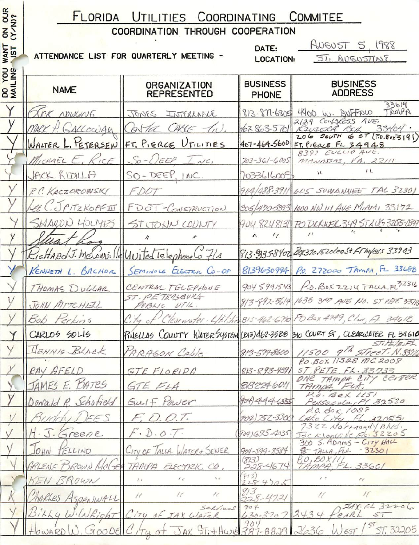## FLORIDA UTILITIES COORDINATING COMMITEE

| <b>NS</b><br>COORDINATION THROUGH COOPERATION<br>HUGUST 5, 1988<br>DATE:<br><b>TNAW</b><br>ATTENDANCE LIST FOR QUARTERLY MEETING -<br>ST, AUGUSTINE<br><b>LOCATION:</b><br><b>SNITI</b><br><b>BUSINESS</b><br><b>BUSINESS</b><br><b>ORGANIZATION</b><br><b>BS</b><br><b>NAME</b><br><b>ADDRESS</b><br><b>REPRESENTED</b><br><b>PHONE</b><br>33614<br>TAMPA<br>813-871-6805 4400 W. BUFFALO<br>XICK NOWCING<br>JONES INTERCABLE<br>2129 Confecess AUE.<br>CABC<br>1678635701<br>MARK P. GALLOCEDAY<br>$\mathcal{I}_{\mu}$<br>33404<br>ATEC<br>KIUZERA<br>$206$ SOUTH<br>65T(70.80x3191)<br>WALTER L. PETERSEN FT. PIERCE UTILITIES<br>407-464-5600 FT. PIERCE FL 34948<br>8397 EUCLIO AUE.<br>MICHAEL E. KICE<br>$So-DEEP, I.ve.$<br>$703 - 361 - 6005$<br>MANASSAS, VA. 22111<br>11<br>si.<br>JACK RIDILLA<br>$SO-DEEP, 1NC.$<br>7033616009<br>904/488-3911 605 SUWANNEE TAL 32301<br>P.C. KACZOROWSKI<br>FDOT<br>305/470-5393 1000 NW 111 AVE MIAMI 33172<br>EE C. OPITZKOPFII<br>FDOT-CONSTRUCTION<br>SHARON HOLMES<br>904 8248131 PODLAUEL 349 STAVG 3205-0349<br>ST JOHN COUNTY<br>$\prime$ !<br>$\prime$<br>$\sqrt{ }$<br>$\prime\prime$<br>813-935-8402 BOX3701520Lee St FT Myless 33903<br>reHARO J. McConville United Telephone Co 7/A<br>8139630994 P.O. 272000 TAMPA, FL 33688<br>SEMINOLE ELECTRIC CO-OP<br>KENNETH L. BACHOR<br>904 5991543<br>CENTRAL TELEPHONE<br>THOMAS DUGGAR<br>ST. PETERSBUKG<br>813-892-5614 1635 310 AUE NO. ST PETE 337B<br>JOHN MITCHEZL<br>PUBLIC UTIL.<br>Clearwater- Utilitie 813-462-6790 POBOX 4749, Clur, Fl. 34618<br>Bob Perkins<br>CARLOS SOLIS<br>FINELLAS COUNTY WATER SYSTEM (2013) 462.3588 310 COURT ST, CLEARWATER FL 34610<br>STIPETERL<br>HENNIS BLACK<br>PARAGON CAble :<br>813-579-8600<br>P.O. BOX 11328 MC 2008<br>RAY AFELD<br>$ST$ $PETE$ $FA.33733$<br>GTE FLORIDA<br>$813 - 893 - 4591$<br>ONE TAMPA CITY CENTER<br>JAMES E. BATRS<br>8132246011<br>GTE FLA<br>TAMAA.<br>H<br>P.O. BOX 1151<br>Gulf Pawer<br>(904)444.4555<br>Schoticks<br>Persacola, PI 32520<br>Donald<br>P.O. BOR 1089<br>TEES<br>F, D. O. T.<br>Buddy<br>904) 752-3300 LAKE City, FL. 320551<br>FL.32055/<br>H. J. Greene<br>$F \cdot D \cdot O \cdot T$<br>9041695-4035<br>Jacksonville Se 32205<br>300 S. ADAMS - CITY HALL<br>$J_{OHN}$<br>CITY OF TALLA. WATER & SEWER<br>TELLINO<br>$904 - 599 - 8584$<br>8 TALLA, FLA. 32301<br>P.O.BOXIII<br>TAMPA, FL. 33601<br>(813)<br>ARLENS BROWN MOLSE TAMPA ELECTRIC. CO<br>$228 - 4674$<br>513)<br>KEN BROWN<br>5.5<br>1 <sup>2</sup><br>$\ell$ $c$<br>$\ell$ .<br>$\mathcal{C}_{\mathcal{C}}$<br>2284705<br>813<br>$\frac{1}{2}$<br>$\prime\epsilon$<br>1 <sup>c</sup><br>$\cal U$<br>$\prime\prime$<br>harles Aspeniugu<br>$228 - 4721$<br>$\pi$ AX. $F$ $\sim$ 32206<br>904<br>Selvians<br>Billy W. WRight City of JAX WATER 630-3707 2434<br>Howard W. GOODE City of JAX ST; + Hwy 387-8828 2636<br>EARL<br>57<br>157,32205<br>EST | <b>OUR</b> | <b>LORIDA</b><br>UTILITIES<br><b>COORDINATING</b><br><b>COMMITEE</b> |  |  |                                          |  |  |  |
|--------------------------------------------------------------------------------------------------------------------------------------------------------------------------------------------------------------------------------------------------------------------------------------------------------------------------------------------------------------------------------------------------------------------------------------------------------------------------------------------------------------------------------------------------------------------------------------------------------------------------------------------------------------------------------------------------------------------------------------------------------------------------------------------------------------------------------------------------------------------------------------------------------------------------------------------------------------------------------------------------------------------------------------------------------------------------------------------------------------------------------------------------------------------------------------------------------------------------------------------------------------------------------------------------------------------------------------------------------------------------------------------------------------------------------------------------------------------------------------------------------------------------------------------------------------------------------------------------------------------------------------------------------------------------------------------------------------------------------------------------------------------------------------------------------------------------------------------------------------------------------------------------------------------------------------------------------------------------------------------------------------------------------------------------------------------------------------------------------------------------------------------------------------------------------------------------------------------------------------------------------------------------------------------------------------------------------------------------------------------------------------------------------------------------------------------------------------------------------------------------------------------------------------------------------------------------------------------------------------------------------------------------------------------------------------------------------------------------------------------------------------------------------------------------------------------------------------------------------------------------------------------------------------------------|------------|----------------------------------------------------------------------|--|--|------------------------------------------|--|--|--|
|                                                                                                                                                                                                                                                                                                                                                                                                                                                                                                                                                                                                                                                                                                                                                                                                                                                                                                                                                                                                                                                                                                                                                                                                                                                                                                                                                                                                                                                                                                                                                                                                                                                                                                                                                                                                                                                                                                                                                                                                                                                                                                                                                                                                                                                                                                                                                                                                                                                                                                                                                                                                                                                                                                                                                                                                                                                                                                                          |            |                                                                      |  |  |                                          |  |  |  |
|                                                                                                                                                                                                                                                                                                                                                                                                                                                                                                                                                                                                                                                                                                                                                                                                                                                                                                                                                                                                                                                                                                                                                                                                                                                                                                                                                                                                                                                                                                                                                                                                                                                                                                                                                                                                                                                                                                                                                                                                                                                                                                                                                                                                                                                                                                                                                                                                                                                                                                                                                                                                                                                                                                                                                                                                                                                                                                                          |            |                                                                      |  |  |                                          |  |  |  |
|                                                                                                                                                                                                                                                                                                                                                                                                                                                                                                                                                                                                                                                                                                                                                                                                                                                                                                                                                                                                                                                                                                                                                                                                                                                                                                                                                                                                                                                                                                                                                                                                                                                                                                                                                                                                                                                                                                                                                                                                                                                                                                                                                                                                                                                                                                                                                                                                                                                                                                                                                                                                                                                                                                                                                                                                                                                                                                                          |            |                                                                      |  |  |                                          |  |  |  |
|                                                                                                                                                                                                                                                                                                                                                                                                                                                                                                                                                                                                                                                                                                                                                                                                                                                                                                                                                                                                                                                                                                                                                                                                                                                                                                                                                                                                                                                                                                                                                                                                                                                                                                                                                                                                                                                                                                                                                                                                                                                                                                                                                                                                                                                                                                                                                                                                                                                                                                                                                                                                                                                                                                                                                                                                                                                                                                                          |            |                                                                      |  |  |                                          |  |  |  |
|                                                                                                                                                                                                                                                                                                                                                                                                                                                                                                                                                                                                                                                                                                                                                                                                                                                                                                                                                                                                                                                                                                                                                                                                                                                                                                                                                                                                                                                                                                                                                                                                                                                                                                                                                                                                                                                                                                                                                                                                                                                                                                                                                                                                                                                                                                                                                                                                                                                                                                                                                                                                                                                                                                                                                                                                                                                                                                                          |            |                                                                      |  |  |                                          |  |  |  |
|                                                                                                                                                                                                                                                                                                                                                                                                                                                                                                                                                                                                                                                                                                                                                                                                                                                                                                                                                                                                                                                                                                                                                                                                                                                                                                                                                                                                                                                                                                                                                                                                                                                                                                                                                                                                                                                                                                                                                                                                                                                                                                                                                                                                                                                                                                                                                                                                                                                                                                                                                                                                                                                                                                                                                                                                                                                                                                                          |            |                                                                      |  |  |                                          |  |  |  |
|                                                                                                                                                                                                                                                                                                                                                                                                                                                                                                                                                                                                                                                                                                                                                                                                                                                                                                                                                                                                                                                                                                                                                                                                                                                                                                                                                                                                                                                                                                                                                                                                                                                                                                                                                                                                                                                                                                                                                                                                                                                                                                                                                                                                                                                                                                                                                                                                                                                                                                                                                                                                                                                                                                                                                                                                                                                                                                                          |            |                                                                      |  |  |                                          |  |  |  |
|                                                                                                                                                                                                                                                                                                                                                                                                                                                                                                                                                                                                                                                                                                                                                                                                                                                                                                                                                                                                                                                                                                                                                                                                                                                                                                                                                                                                                                                                                                                                                                                                                                                                                                                                                                                                                                                                                                                                                                                                                                                                                                                                                                                                                                                                                                                                                                                                                                                                                                                                                                                                                                                                                                                                                                                                                                                                                                                          |            |                                                                      |  |  |                                          |  |  |  |
|                                                                                                                                                                                                                                                                                                                                                                                                                                                                                                                                                                                                                                                                                                                                                                                                                                                                                                                                                                                                                                                                                                                                                                                                                                                                                                                                                                                                                                                                                                                                                                                                                                                                                                                                                                                                                                                                                                                                                                                                                                                                                                                                                                                                                                                                                                                                                                                                                                                                                                                                                                                                                                                                                                                                                                                                                                                                                                                          |            |                                                                      |  |  |                                          |  |  |  |
|                                                                                                                                                                                                                                                                                                                                                                                                                                                                                                                                                                                                                                                                                                                                                                                                                                                                                                                                                                                                                                                                                                                                                                                                                                                                                                                                                                                                                                                                                                                                                                                                                                                                                                                                                                                                                                                                                                                                                                                                                                                                                                                                                                                                                                                                                                                                                                                                                                                                                                                                                                                                                                                                                                                                                                                                                                                                                                                          |            |                                                                      |  |  |                                          |  |  |  |
|                                                                                                                                                                                                                                                                                                                                                                                                                                                                                                                                                                                                                                                                                                                                                                                                                                                                                                                                                                                                                                                                                                                                                                                                                                                                                                                                                                                                                                                                                                                                                                                                                                                                                                                                                                                                                                                                                                                                                                                                                                                                                                                                                                                                                                                                                                                                                                                                                                                                                                                                                                                                                                                                                                                                                                                                                                                                                                                          |            |                                                                      |  |  |                                          |  |  |  |
|                                                                                                                                                                                                                                                                                                                                                                                                                                                                                                                                                                                                                                                                                                                                                                                                                                                                                                                                                                                                                                                                                                                                                                                                                                                                                                                                                                                                                                                                                                                                                                                                                                                                                                                                                                                                                                                                                                                                                                                                                                                                                                                                                                                                                                                                                                                                                                                                                                                                                                                                                                                                                                                                                                                                                                                                                                                                                                                          |            |                                                                      |  |  |                                          |  |  |  |
|                                                                                                                                                                                                                                                                                                                                                                                                                                                                                                                                                                                                                                                                                                                                                                                                                                                                                                                                                                                                                                                                                                                                                                                                                                                                                                                                                                                                                                                                                                                                                                                                                                                                                                                                                                                                                                                                                                                                                                                                                                                                                                                                                                                                                                                                                                                                                                                                                                                                                                                                                                                                                                                                                                                                                                                                                                                                                                                          |            |                                                                      |  |  |                                          |  |  |  |
|                                                                                                                                                                                                                                                                                                                                                                                                                                                                                                                                                                                                                                                                                                                                                                                                                                                                                                                                                                                                                                                                                                                                                                                                                                                                                                                                                                                                                                                                                                                                                                                                                                                                                                                                                                                                                                                                                                                                                                                                                                                                                                                                                                                                                                                                                                                                                                                                                                                                                                                                                                                                                                                                                                                                                                                                                                                                                                                          |            |                                                                      |  |  |                                          |  |  |  |
|                                                                                                                                                                                                                                                                                                                                                                                                                                                                                                                                                                                                                                                                                                                                                                                                                                                                                                                                                                                                                                                                                                                                                                                                                                                                                                                                                                                                                                                                                                                                                                                                                                                                                                                                                                                                                                                                                                                                                                                                                                                                                                                                                                                                                                                                                                                                                                                                                                                                                                                                                                                                                                                                                                                                                                                                                                                                                                                          |            |                                                                      |  |  |                                          |  |  |  |
|                                                                                                                                                                                                                                                                                                                                                                                                                                                                                                                                                                                                                                                                                                                                                                                                                                                                                                                                                                                                                                                                                                                                                                                                                                                                                                                                                                                                                                                                                                                                                                                                                                                                                                                                                                                                                                                                                                                                                                                                                                                                                                                                                                                                                                                                                                                                                                                                                                                                                                                                                                                                                                                                                                                                                                                                                                                                                                                          |            |                                                                      |  |  | $P.0. \text{BbX 2214}$ TALLA, FL $32316$ |  |  |  |
|                                                                                                                                                                                                                                                                                                                                                                                                                                                                                                                                                                                                                                                                                                                                                                                                                                                                                                                                                                                                                                                                                                                                                                                                                                                                                                                                                                                                                                                                                                                                                                                                                                                                                                                                                                                                                                                                                                                                                                                                                                                                                                                                                                                                                                                                                                                                                                                                                                                                                                                                                                                                                                                                                                                                                                                                                                                                                                                          |            |                                                                      |  |  |                                          |  |  |  |
|                                                                                                                                                                                                                                                                                                                                                                                                                                                                                                                                                                                                                                                                                                                                                                                                                                                                                                                                                                                                                                                                                                                                                                                                                                                                                                                                                                                                                                                                                                                                                                                                                                                                                                                                                                                                                                                                                                                                                                                                                                                                                                                                                                                                                                                                                                                                                                                                                                                                                                                                                                                                                                                                                                                                                                                                                                                                                                                          |            |                                                                      |  |  |                                          |  |  |  |
|                                                                                                                                                                                                                                                                                                                                                                                                                                                                                                                                                                                                                                                                                                                                                                                                                                                                                                                                                                                                                                                                                                                                                                                                                                                                                                                                                                                                                                                                                                                                                                                                                                                                                                                                                                                                                                                                                                                                                                                                                                                                                                                                                                                                                                                                                                                                                                                                                                                                                                                                                                                                                                                                                                                                                                                                                                                                                                                          |            |                                                                      |  |  |                                          |  |  |  |
|                                                                                                                                                                                                                                                                                                                                                                                                                                                                                                                                                                                                                                                                                                                                                                                                                                                                                                                                                                                                                                                                                                                                                                                                                                                                                                                                                                                                                                                                                                                                                                                                                                                                                                                                                                                                                                                                                                                                                                                                                                                                                                                                                                                                                                                                                                                                                                                                                                                                                                                                                                                                                                                                                                                                                                                                                                                                                                                          |            |                                                                      |  |  | 11500 9th STreet. N.3376                 |  |  |  |
|                                                                                                                                                                                                                                                                                                                                                                                                                                                                                                                                                                                                                                                                                                                                                                                                                                                                                                                                                                                                                                                                                                                                                                                                                                                                                                                                                                                                                                                                                                                                                                                                                                                                                                                                                                                                                                                                                                                                                                                                                                                                                                                                                                                                                                                                                                                                                                                                                                                                                                                                                                                                                                                                                                                                                                                                                                                                                                                          |            |                                                                      |  |  |                                          |  |  |  |
|                                                                                                                                                                                                                                                                                                                                                                                                                                                                                                                                                                                                                                                                                                                                                                                                                                                                                                                                                                                                                                                                                                                                                                                                                                                                                                                                                                                                                                                                                                                                                                                                                                                                                                                                                                                                                                                                                                                                                                                                                                                                                                                                                                                                                                                                                                                                                                                                                                                                                                                                                                                                                                                                                                                                                                                                                                                                                                                          |            |                                                                      |  |  |                                          |  |  |  |
|                                                                                                                                                                                                                                                                                                                                                                                                                                                                                                                                                                                                                                                                                                                                                                                                                                                                                                                                                                                                                                                                                                                                                                                                                                                                                                                                                                                                                                                                                                                                                                                                                                                                                                                                                                                                                                                                                                                                                                                                                                                                                                                                                                                                                                                                                                                                                                                                                                                                                                                                                                                                                                                                                                                                                                                                                                                                                                                          |            |                                                                      |  |  |                                          |  |  |  |
|                                                                                                                                                                                                                                                                                                                                                                                                                                                                                                                                                                                                                                                                                                                                                                                                                                                                                                                                                                                                                                                                                                                                                                                                                                                                                                                                                                                                                                                                                                                                                                                                                                                                                                                                                                                                                                                                                                                                                                                                                                                                                                                                                                                                                                                                                                                                                                                                                                                                                                                                                                                                                                                                                                                                                                                                                                                                                                                          |            |                                                                      |  |  |                                          |  |  |  |
|                                                                                                                                                                                                                                                                                                                                                                                                                                                                                                                                                                                                                                                                                                                                                                                                                                                                                                                                                                                                                                                                                                                                                                                                                                                                                                                                                                                                                                                                                                                                                                                                                                                                                                                                                                                                                                                                                                                                                                                                                                                                                                                                                                                                                                                                                                                                                                                                                                                                                                                                                                                                                                                                                                                                                                                                                                                                                                                          |            |                                                                      |  |  |                                          |  |  |  |
|                                                                                                                                                                                                                                                                                                                                                                                                                                                                                                                                                                                                                                                                                                                                                                                                                                                                                                                                                                                                                                                                                                                                                                                                                                                                                                                                                                                                                                                                                                                                                                                                                                                                                                                                                                                                                                                                                                                                                                                                                                                                                                                                                                                                                                                                                                                                                                                                                                                                                                                                                                                                                                                                                                                                                                                                                                                                                                                          |            |                                                                      |  |  |                                          |  |  |  |
|                                                                                                                                                                                                                                                                                                                                                                                                                                                                                                                                                                                                                                                                                                                                                                                                                                                                                                                                                                                                                                                                                                                                                                                                                                                                                                                                                                                                                                                                                                                                                                                                                                                                                                                                                                                                                                                                                                                                                                                                                                                                                                                                                                                                                                                                                                                                                                                                                                                                                                                                                                                                                                                                                                                                                                                                                                                                                                                          |            |                                                                      |  |  |                                          |  |  |  |
|                                                                                                                                                                                                                                                                                                                                                                                                                                                                                                                                                                                                                                                                                                                                                                                                                                                                                                                                                                                                                                                                                                                                                                                                                                                                                                                                                                                                                                                                                                                                                                                                                                                                                                                                                                                                                                                                                                                                                                                                                                                                                                                                                                                                                                                                                                                                                                                                                                                                                                                                                                                                                                                                                                                                                                                                                                                                                                                          |            |                                                                      |  |  |                                          |  |  |  |
|                                                                                                                                                                                                                                                                                                                                                                                                                                                                                                                                                                                                                                                                                                                                                                                                                                                                                                                                                                                                                                                                                                                                                                                                                                                                                                                                                                                                                                                                                                                                                                                                                                                                                                                                                                                                                                                                                                                                                                                                                                                                                                                                                                                                                                                                                                                                                                                                                                                                                                                                                                                                                                                                                                                                                                                                                                                                                                                          |            |                                                                      |  |  |                                          |  |  |  |
|                                                                                                                                                                                                                                                                                                                                                                                                                                                                                                                                                                                                                                                                                                                                                                                                                                                                                                                                                                                                                                                                                                                                                                                                                                                                                                                                                                                                                                                                                                                                                                                                                                                                                                                                                                                                                                                                                                                                                                                                                                                                                                                                                                                                                                                                                                                                                                                                                                                                                                                                                                                                                                                                                                                                                                                                                                                                                                                          |            |                                                                      |  |  |                                          |  |  |  |
|                                                                                                                                                                                                                                                                                                                                                                                                                                                                                                                                                                                                                                                                                                                                                                                                                                                                                                                                                                                                                                                                                                                                                                                                                                                                                                                                                                                                                                                                                                                                                                                                                                                                                                                                                                                                                                                                                                                                                                                                                                                                                                                                                                                                                                                                                                                                                                                                                                                                                                                                                                                                                                                                                                                                                                                                                                                                                                                          |            |                                                                      |  |  |                                          |  |  |  |